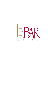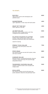## TO START...

| <b>RAVIOLI</b><br>Tiger prawn ravioli with lemongrass and<br>shellfish broth                                                                 | 800   |
|----------------------------------------------------------------------------------------------------------------------------------------------|-------|
| <b>MINESTRONE</b><br>Light vegetables in clear soup with basil pesto                                                                         | 450   |
| <b>SOUP OF THE DAY</b><br>Chef's special of the day                                                                                          | 450   |
| <b>LE BAR SALAD</b><br>Edamame, green mango pickles with Thai<br>vinaigrette and sautéed shrimp                                              | 600   |
| <b>FILIPINO SHARING PLATTER</b><br>Chicken inasal, grilled squid stuffed with<br>tomatoes, grilled pork belly and condiments                 | 1,600 |
| Good for sharing                                                                                                                             |       |
| <b>FRESH TUNA SALAD</b><br>Herb cured tuna with ponzu sauce and<br>asparagus                                                                 | 750   |
| <b>FOIE GRAS</b><br>Pan-seared foie gras served with oysters, leeks<br>and soya caramel                                                      | 880   |
| <b>CAESAR SALAD</b><br>Romaine lettuce, caramelized pancetta, focaccia<br>croutons, Caesar dressing with poached eggs<br>and grilled chicken | 620   |
| <b>TANDOORI CHICKEN SALAD</b><br>Tandoori roasted chicken with avocado and<br>mango salad                                                    | 500   |
| <b>SCALLOPS</b><br>Pan-seared scallops served with green pea<br>purée, balsamic reduction and parmesan foam                                  | 800   |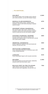## ... TO CONTINUE...

| <b>HALIBUT</b><br>Pan-seared halibut with tarragon purée, spinach<br>and ricotta tortellini, served with lobster bisque                                                          | 1,500 |
|----------------------------------------------------------------------------------------------------------------------------------------------------------------------------------|-------|
| <b>MANILA CLUB SANDWICH</b><br>Sliced chicken breast, bacon, melted cheese,<br>tomatoes, lettuce with herbs dressing in toasted<br>country bread                                 | 875   |
| <b>GOURMET STEAK SANDWICH</b><br>Pan-seared angus beef, bacon, melted cheese,<br>tomatoes, lettuce with herbs dressing in toasted<br>country bread and served with potato wedges | 875   |
| <b>CHICKEN CHARCOAL BURGER</b><br>Ground chicken with scamorza cheese, chili,<br>avocado and chipotle salsa in charcoal buns, served<br>with sweet potato wedges                 | 800   |
| <b>ORIENTAL SANDWICH</b><br>Grilled vegetarian sandwich with pita bread and<br>fattoush, served with fries                                                                       | 600   |
| <b>FETTUCINE CARBONARA</b><br>Fresh homemade fettucine in carbonara sauce with<br>crispy smoked pancetta                                                                         | 650   |
| <b>LINGUINI</b><br>Fresh homemade linguini with mussels marinière                                                                                                                | 815   |
| <b>SALMON</b><br>Pan-seared salmon served with lemon, edamame,<br>tomato comfit and lime butter sauce                                                                            | 1,300 |
| <b>BULALO (POT AU FEU FILIPINO)</b><br>Light colored consommé with beef shanks,<br>marrow bones and vegetables, served with rice                                                 | 750   |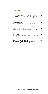## ... TO CONTINUE...

| <b>GRILLED SEAFOOD BROCHETTES</b><br>Grilled prawns, tuna, salmon and vegetables served<br>with saffron rice, rosemary vinaigrette and light<br>lemon butter sauce | 800   |
|--------------------------------------------------------------------------------------------------------------------------------------------------------------------|-------|
| <b>LAMB SHANK</b><br>Braised lamb shank with polenta and piquillo<br>peppers stuffed with ricotta and spinach                                                      | 1,500 |
| <b>ONGLET BEEF STEAK</b><br>Beef steak served with shallots comfit, homemade<br>potato fries and béarnaise sauce                                                   | 900   |
| <b>PORK BELLY</b><br>Pork belly comfit with taro mousseline, truffle miso<br>sauce, pickles and carrots                                                            | 600   |
| <b>TOURNEDOS ROSSINI</b><br>Pan-seared beef tenderloin with perigourdine<br>sauce served with pomme mousseline                                                     | 1,800 |